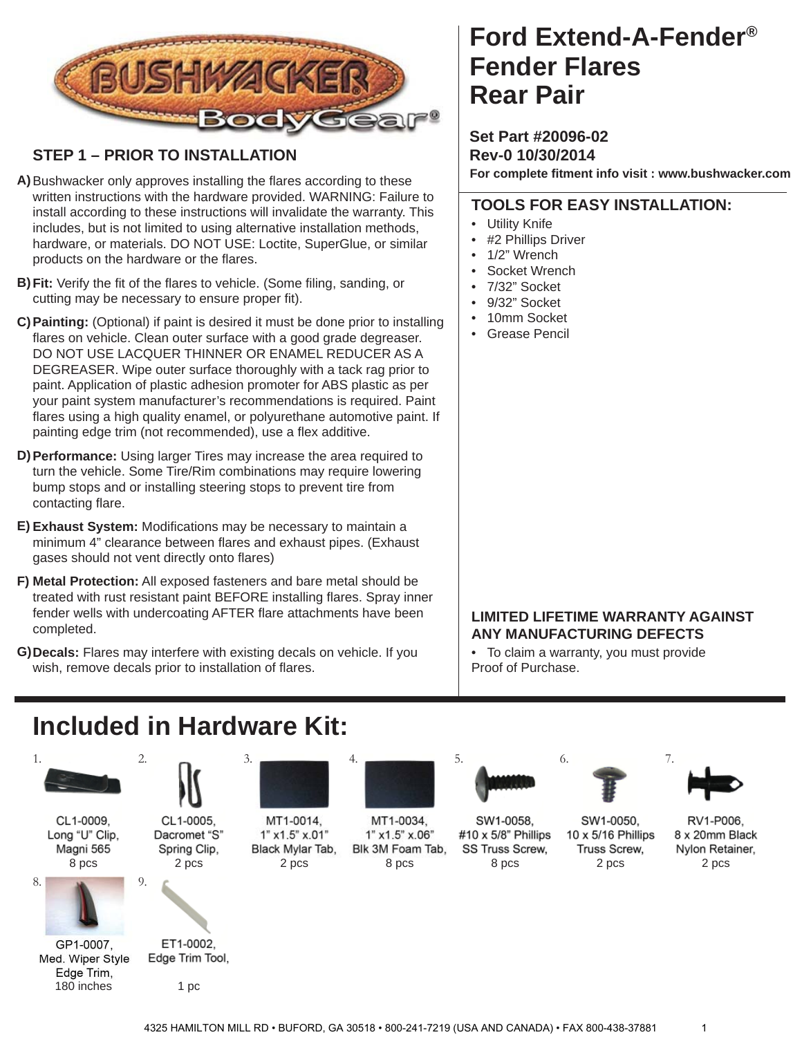

### **STEP 1 – PRIOR TO INSTALLATION**

- A) Bushwacker only approves installing the flares according to these written instructions with the hardware provided. WARNING: Failure to install according to these instructions will invalidate the warranty. This includes, but is not limited to using alternative installation methods, hardware, or materials. DO NOT USE: Loctite, SuperGlue, or similar products on the hardware or the flares.
- **B) Fit:** Verify the fit of the flares to vehicle. (Some filing, sanding, or cutting may be necessary to ensure proper fit).
- **Painting:** (Optional) if paint is desired it must be done prior to installing **C)** flares on vehicle. Clean outer surface with a good grade degreaser. DO NOT USE LACQUER THINNER OR ENAMEL REDUCER AS A DEGREASER. Wipe outer surface thoroughly with a tack rag prior to paint. Application of plastic adhesion promoter for ABS plastic as per your paint system manufacturer's recommendations is required. Paint flares using a high quality enamel, or polyurethane automotive paint. If painting edge trim (not recommended), use a flex additive.
- **Performance:** Using larger Tires may increase the area required to **D)** turn the vehicle. Some Tire/Rim combinations may require lowering bump stops and or installing steering stops to prevent tire from contacting flare.
- E) Exhaust System: Modifications may be necessary to maintain a minimum 4" clearance between flares and exhaust pipes. (Exhaust gases should not vent directly onto flares)
- **Metal Protection:** All exposed fasteners and bare metal should be **F)** treated with rust resistant paint BEFORE installing flares. Spray inner fender wells with undercoating AFTER flare attachments have been completed.
- **Decals:** Flares may interfere with existing decals on vehicle. If you **G)** wish, remove decals prior to installation of flares.

### **Ford Extend-A-Fender® Rear Pair Fender Flares**

**Set Part #20096-02 Rev-0 10/30/2014 For complete fi tment info visit : www.bushwacker.com**

#### **TOOLS FOR EASY INSTALLATION:**

- Utility Knife
- #2 Phillips Driver
- 1/2" Wrench
- Socket Wrench
- 7/32" Socket
- 9/32" Socket
- 10mm Socket
- Grease Pencil

#### **LIMITED LIFETIME WARRANTY AGAINST ANY MANUFACTURING DEFECTS**

• To claim a warranty, you must provide Proof of Purchase.

## **Included in Hardware Kit:**



CL1-0005, Dacromet "S" Spring Clip,



MT1-0014, 1" x1.5" x.01" Black Mylar Tab,



MT1-0034, 1" x1.5" x.06" Blk 3M Foam Tab,



SS Truss Screw,

SW1-0058, SW1-0050, #10 x 5/8" Phillips 10 x 5/16 Phillips



Truss Screw,



RV1-P006 8 x 20mm Black Nylon Retainer,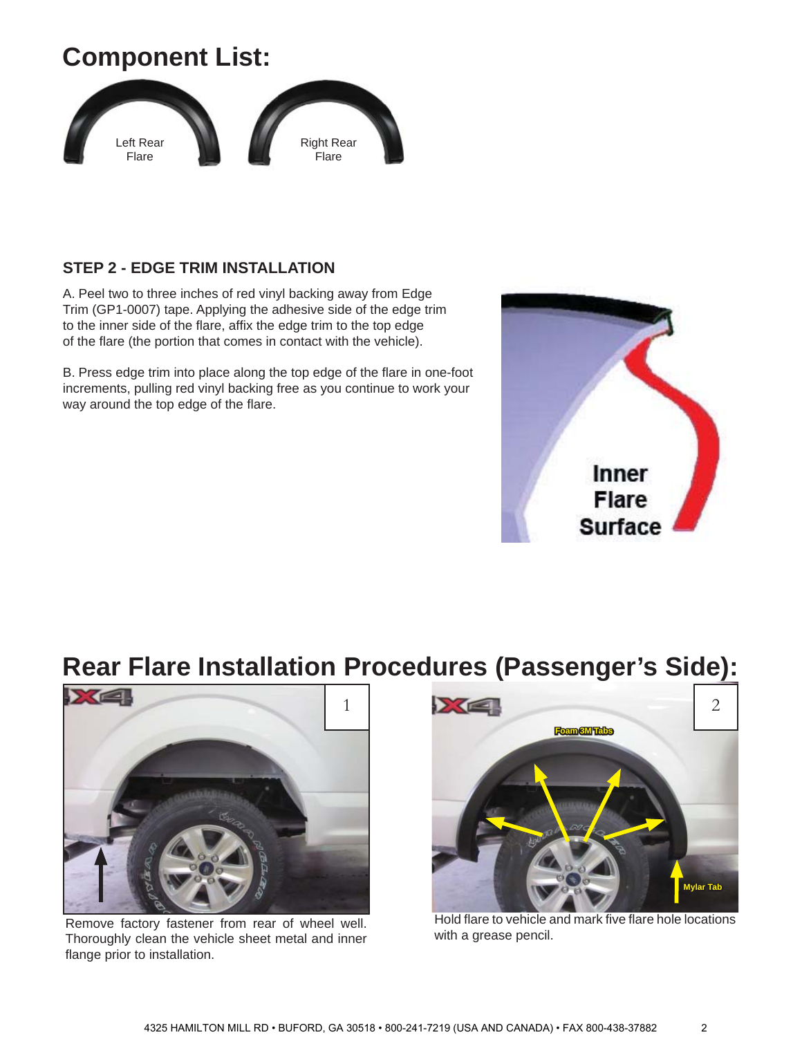# **Component List:**



### **STEP 2 - EDGE TRIM INSTALLATION**

A. Peel two to three inches of red vinyl backing away from Edge Trim (GP1-0007) tape. Applying the adhesive side of the edge trim to the inner side of the flare, affix the edge trim to the top edge of the flare (the portion that comes in contact with the vehicle).

B. Press edge trim into place along the top edge of the flare in one-foot increments, pulling red vinyl backing free as you continue to work your way around the top edge of the flare.



### **Rear Flare Installation Procedures (Passenger's Side):**



Remove factory fastener from rear of wheel well. Hold flare to vehicle a<br>Thoroughly clean the vehicle sheet metal and inner with a grease pencil. Thoroughly clean the vehicle sheet metal and inner flange prior to installation.



Hold flare to vehicle and mark five flare hole locations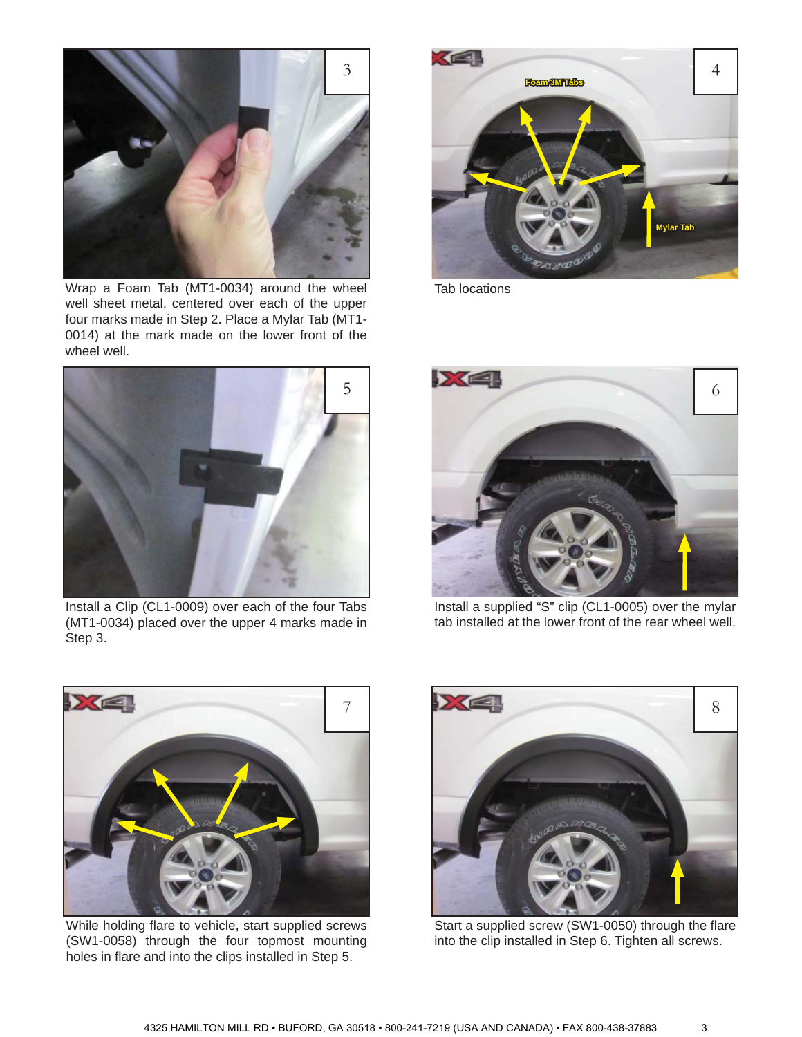

Wrap a Foam Tab (MT1-0034) around the wheel well sheet metal, centered over each of the upper four marks made in Step 2. Place a Mylar Tab (MT1- 0014) at the mark made on the lower front of the wheel well.



Install a Clip (CL1-0009) over each of the four Tabs (MT1-0034) placed over the upper 4 marks made in Step 3.



Tab locations



Install a supplied "S" clip (CL1-0005) over the mylar tab installed at the lower front of the rear wheel well.



While holding flare to vehicle, start supplied screws (SW1-0058) through the four topmost mounting holes in flare and into the clips installed in Step 5.



Start a supplied screw (SW1-0050) through the flare into the clip installed in Step 6. Tighten all screws.